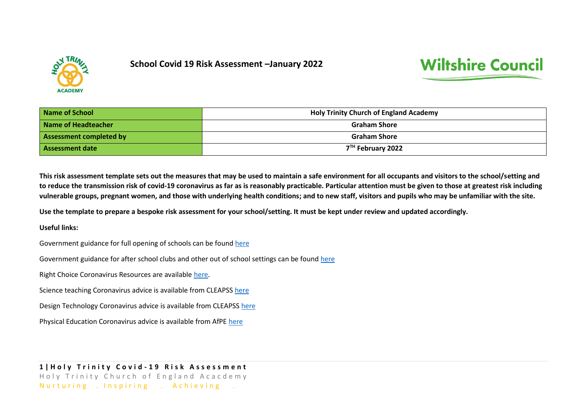

# **School Covid 19 Risk Assessment –January 2022**

# **Wiltshire Council**

| Name of School                 | <b>Holy Trinity Church of England Academy</b> |  |
|--------------------------------|-----------------------------------------------|--|
| Name of Headteacher            | <b>Graham Shore</b>                           |  |
| <b>Assessment completed by</b> | <b>Graham Shore</b>                           |  |
| Assessment date                | 7TH February 2022                             |  |

**This risk assessment template sets out the measures that may be used to maintain a safe environment for all occupants and visitors to the school/setting and to reduce the transmission risk of covid-19 coronavirus as far as is reasonably practicable. Particular attention must be given to those at greatest risk including vulnerable groups, pregnant women, and those with underlying health conditions; and to new staff, visitors and pupils who may be unfamiliar with the site.**

**Use the template to prepare a bespoke risk assessment for your school/setting. It must be kept under review and updated accordingly.**

**Useful links:**

Government guidance for full opening of schools can be found [here](https://eur02.safelinks.protection.outlook.com/?url=https%3A%2F%2Fwww.gov.uk%2Fgovernment%2Fpublications%2Factions-for-schools-during-the-coronavirus-outbreak%2Fguidance-for-full-opening-schools&data=02%7C01%7Cann.durbin%40wiltshire.gov.uk%7Cab8e7d513f3d4b720e2108d81e69dd4d%7C5546e75e3be14813b0ff26651ea2fe19%7C0%7C0%7C637292787311482561&sdata=BFgBw8xH8rljnvW5R56a0IAh5dCSfGPRcg58VhifFzw%3D&reserved=0)

Government guidance for after school clubs and other out of school settings can be foun[d here](https://www.gov.uk/government/publications/protective-measures-for-holiday-or-after-school-clubs-and-other-out-of-school-settings-for-children-during-the-coronavirus-covid-19-outbreak/protective-measures-for-out-of-school-settings-during-the-coronavirus-covid-19-outbreak)

Right Choice Coronavirus Resources are available [here.](https://rightchoice.wiltshire.gov.uk/P16834)

Science teaching Coronavirus advice is available from CLEAPSS [here](https://eur02.safelinks.protection.outlook.com/?url=http%3A%2F%2Fscience.cleapss.org.uk%2F&data=02%7C01%7Cpaul.collyer%40wiltshire.gov.uk%7Cc021783494934fd93f8b08d821916dc1%7C5546e75e3be14813b0ff26651ea2fe19%7C0%7C0%7C637296255774485385&sdata=i4monajLdg897wQ9uMHzw58ajei8R70LdCav%2Fg7jMyw%3D&reserved=0)

Design Technology Coronavirus advice is available from CLEAPSS [here](https://eur02.safelinks.protection.outlook.com/?url=http%3A%2F%2Fdt.cleapss.org.uk%2F&data=02%7C01%7Cpaul.collyer%40wiltshire.gov.uk%7Cc021783494934fd93f8b08d821916dc1%7C5546e75e3be14813b0ff26651ea2fe19%7C0%7C0%7C637296255774495381&sdata=WT69RvFYXIi5nGi%2Fh85QPDzXmPIxjrLT0uaCeULy4ss%3D&reserved=0)

Physical Education Coronavirus advice is available from AfPE [here](https://www.afpe.org.uk/physical-education/dfe-guidance-on-the-full-opening-of-schools-in-september/)

#### **1 | H o l y T r i n i t y C o v i d - 1 9 R i s k A s s e s s m e n t** Holy Trinity Church of England Acacdemy Nurturing . Inspiring . Achieving .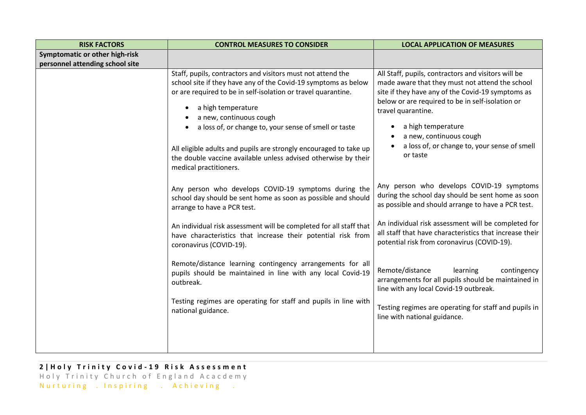| <b>RISK FACTORS</b>             | <b>CONTROL MEASURES TO CONSIDER</b>                                                                                                                                                                                                                                                                                                                                                                                                                                                                                                                                                                                                                                                                                                                                                                                                                                                                                                                                                                            | <b>LOCAL APPLICATION OF MEASURES</b>                                                                                                                                                                                                                                                                                                                                                                                                                                                                                                                                                                                                                                                                                                                                                                                       |
|---------------------------------|----------------------------------------------------------------------------------------------------------------------------------------------------------------------------------------------------------------------------------------------------------------------------------------------------------------------------------------------------------------------------------------------------------------------------------------------------------------------------------------------------------------------------------------------------------------------------------------------------------------------------------------------------------------------------------------------------------------------------------------------------------------------------------------------------------------------------------------------------------------------------------------------------------------------------------------------------------------------------------------------------------------|----------------------------------------------------------------------------------------------------------------------------------------------------------------------------------------------------------------------------------------------------------------------------------------------------------------------------------------------------------------------------------------------------------------------------------------------------------------------------------------------------------------------------------------------------------------------------------------------------------------------------------------------------------------------------------------------------------------------------------------------------------------------------------------------------------------------------|
| Symptomatic or other high-risk  |                                                                                                                                                                                                                                                                                                                                                                                                                                                                                                                                                                                                                                                                                                                                                                                                                                                                                                                                                                                                                |                                                                                                                                                                                                                                                                                                                                                                                                                                                                                                                                                                                                                                                                                                                                                                                                                            |
| personnel attending school site | Staff, pupils, contractors and visitors must not attend the<br>school site if they have any of the Covid-19 symptoms as below<br>or are required to be in self-isolation or travel quarantine.<br>a high temperature<br>a new, continuous cough<br>a loss of, or change to, your sense of smell or taste<br>All eligible adults and pupils are strongly encouraged to take up<br>the double vaccine available unless advised otherwise by their<br>medical practitioners.<br>Any person who develops COVID-19 symptoms during the<br>school day should be sent home as soon as possible and should<br>arrange to have a PCR test.<br>An individual risk assessment will be completed for all staff that<br>have characteristics that increase their potential risk from<br>coronavirus (COVID-19).<br>Remote/distance learning contingency arrangements for all<br>pupils should be maintained in line with any local Covid-19<br>outbreak.<br>Testing regimes are operating for staff and pupils in line with | All Staff, pupils, contractors and visitors will be<br>made aware that they must not attend the school<br>site if they have any of the Covid-19 symptoms as<br>below or are required to be in self-isolation or<br>travel quarantine.<br>a high temperature<br>a new, continuous cough<br>a loss of, or change to, your sense of smell<br>or taste<br>Any person who develops COVID-19 symptoms<br>during the school day should be sent home as soon<br>as possible and should arrange to have a PCR test.<br>An individual risk assessment will be completed for<br>all staff that have characteristics that increase their<br>potential risk from coronavirus (COVID-19).<br>Remote/distance<br>learning<br>contingency<br>arrangements for all pupils should be maintained in<br>line with any local Covid-19 outbreak. |
|                                 | national guidance.                                                                                                                                                                                                                                                                                                                                                                                                                                                                                                                                                                                                                                                                                                                                                                                                                                                                                                                                                                                             | Testing regimes are operating for staff and pupils in<br>line with national guidance.                                                                                                                                                                                                                                                                                                                                                                                                                                                                                                                                                                                                                                                                                                                                      |
|                                 |                                                                                                                                                                                                                                                                                                                                                                                                                                                                                                                                                                                                                                                                                                                                                                                                                                                                                                                                                                                                                |                                                                                                                                                                                                                                                                                                                                                                                                                                                                                                                                                                                                                                                                                                                                                                                                                            |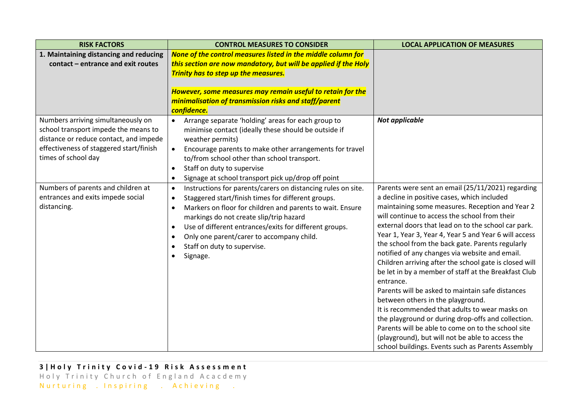| <b>RISK FACTORS</b>                     | <b>CONTROL MEASURES TO CONSIDER</b>                                       | <b>LOCAL APPLICATION OF MEASURES</b>                                                             |
|-----------------------------------------|---------------------------------------------------------------------------|--------------------------------------------------------------------------------------------------|
| 1. Maintaining distancing and reducing  | None of the control measures listed in the middle column for              |                                                                                                  |
| contact - entrance and exit routes      | this section are now mandatory, but will be applied if the Holy           |                                                                                                  |
|                                         | <b>Trinity has to step up the measures.</b>                               |                                                                                                  |
|                                         |                                                                           |                                                                                                  |
|                                         | However, some measures may remain useful to retain for the                |                                                                                                  |
|                                         | minimalisation of transmission risks and staff/parent                     |                                                                                                  |
|                                         | confidence.                                                               |                                                                                                  |
| Numbers arriving simultaneously on      | Arrange separate 'holding' areas for each group to<br>$\bullet$           | Not applicable                                                                                   |
| school transport impede the means to    | minimise contact (ideally these should be outside if                      |                                                                                                  |
| distance or reduce contact, and impede  | weather permits)                                                          |                                                                                                  |
| effectiveness of staggered start/finish | Encourage parents to make other arrangements for travel<br>$\bullet$      |                                                                                                  |
| times of school day                     | to/from school other than school transport.                               |                                                                                                  |
|                                         | Staff on duty to supervise<br>$\bullet$                                   |                                                                                                  |
|                                         | Signage at school transport pick up/drop off point<br>$\bullet$           |                                                                                                  |
| Numbers of parents and children at      | Instructions for parents/carers on distancing rules on site.<br>$\bullet$ | Parents were sent an email (25/11/2021) regarding                                                |
| entrances and exits impede social       | Staggered start/finish times for different groups.<br>$\bullet$           | a decline in positive cases, which included                                                      |
| distancing.                             | Markers on floor for children and parents to wait. Ensure<br>$\bullet$    | maintaining some measures. Reception and Year 2<br>will continue to access the school from their |
|                                         | markings do not create slip/trip hazard                                   | external doors that lead on to the school car park.                                              |
|                                         | Use of different entrances/exits for different groups.<br>$\bullet$       | Year 1, Year 3, Year 4, Year 5 and Year 6 will access                                            |
|                                         | Only one parent/carer to accompany child.<br>$\bullet$                    | the school from the back gate. Parents regularly                                                 |
|                                         | Staff on duty to supervise.<br>$\bullet$                                  | notified of any changes via website and email.                                                   |
|                                         | Signage.                                                                  | Children arriving after the school gate is closed will                                           |
|                                         |                                                                           | be let in by a member of staff at the Breakfast Club                                             |
|                                         |                                                                           | entrance.                                                                                        |
|                                         |                                                                           | Parents will be asked to maintain safe distances                                                 |
|                                         |                                                                           | between others in the playground.                                                                |
|                                         |                                                                           | It is recommended that adults to wear masks on                                                   |
|                                         |                                                                           | the playground or during drop-offs and collection.                                               |
|                                         |                                                                           | Parents will be able to come on to the school site                                               |
|                                         |                                                                           | (playground), but will not be able to access the                                                 |
|                                         |                                                                           | school buildings. Events such as Parents Assembly                                                |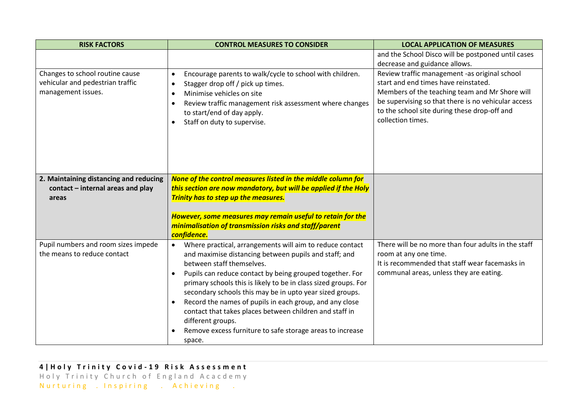| <b>RISK FACTORS</b>                    | <b>CONTROL MEASURES TO CONSIDER</b>                                   | <b>LOCAL APPLICATION OF MEASURES</b>                |
|----------------------------------------|-----------------------------------------------------------------------|-----------------------------------------------------|
|                                        |                                                                       | and the School Disco will be postponed until cases  |
|                                        |                                                                       | decrease and guidance allows.                       |
| Changes to school routine cause        | Encourage parents to walk/cycle to school with children.<br>$\bullet$ | Review traffic management -as original school       |
| vehicular and pedestrian traffic       | Stagger drop off / pick up times.<br>$\bullet$                        | start and end times have reinstated.                |
| management issues.                     | Minimise vehicles on site<br>$\bullet$                                | Members of the teaching team and Mr Shore will      |
|                                        | Review traffic management risk assessment where changes<br>$\bullet$  | be supervising so that there is no vehicular access |
|                                        | to start/end of day apply.                                            | to the school site during these drop-off and        |
|                                        | Staff on duty to supervise.<br>$\bullet$                              | collection times.                                   |
|                                        |                                                                       |                                                     |
|                                        |                                                                       |                                                     |
|                                        |                                                                       |                                                     |
|                                        |                                                                       |                                                     |
|                                        |                                                                       |                                                     |
| 2. Maintaining distancing and reducing | None of the control measures listed in the middle column for          |                                                     |
| contact - internal areas and play      | this section are now mandatory, but will be applied if the Holy       |                                                     |
| areas                                  | Trinity has to step up the measures.                                  |                                                     |
|                                        |                                                                       |                                                     |
|                                        | However, some measures may remain useful to retain for the            |                                                     |
|                                        | minimalisation of transmission risks and staff/parent                 |                                                     |
|                                        | confidence.                                                           |                                                     |
| Pupil numbers and room sizes impede    | Where practical, arrangements will aim to reduce contact<br>$\bullet$ | There will be no more than four adults in the staff |
| the means to reduce contact            | and maximise distancing between pupils and staff; and                 | room at any one time.                               |
|                                        | between staff themselves.                                             | It is recommended that staff wear facemasks in      |
|                                        | Pupils can reduce contact by being grouped together. For<br>$\bullet$ | communal areas, unless they are eating.             |
|                                        | primary schools this is likely to be in class sized groups. For       |                                                     |
|                                        | secondary schools this may be in upto year sized groups.              |                                                     |
|                                        |                                                                       |                                                     |
|                                        | Record the names of pupils in each group, and any close<br>$\bullet$  |                                                     |
|                                        | contact that takes places between children and staff in               |                                                     |
|                                        | different groups.                                                     |                                                     |
|                                        | Remove excess furniture to safe storage areas to increase             |                                                     |
|                                        | space.                                                                |                                                     |

# **4 | H o l y T r i n i t y C o v i d - 1 9 R i s k A s s e s s m e n t** Holy Trinity Church of England Acacdemy N urturing . Inspiring . A chieving .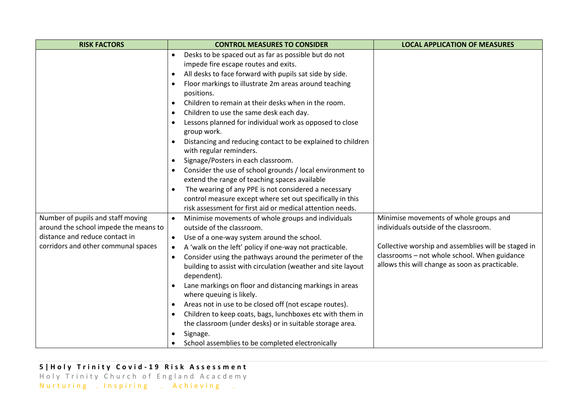| <b>RISK FACTORS</b>                   | <b>CONTROL MEASURES TO CONSIDER</b>                                         | <b>LOCAL APPLICATION OF MEASURES</b>                |
|---------------------------------------|-----------------------------------------------------------------------------|-----------------------------------------------------|
|                                       | Desks to be spaced out as far as possible but do not<br>$\bullet$           |                                                     |
|                                       | impede fire escape routes and exits.                                        |                                                     |
|                                       | All desks to face forward with pupils sat side by side.<br>$\bullet$        |                                                     |
|                                       | Floor markings to illustrate 2m areas around teaching<br>$\bullet$          |                                                     |
|                                       | positions.                                                                  |                                                     |
|                                       | Children to remain at their desks when in the room.<br>$\bullet$            |                                                     |
|                                       | Children to use the same desk each day.<br>$\bullet$                        |                                                     |
|                                       | Lessons planned for individual work as opposed to close<br>$\bullet$        |                                                     |
|                                       | group work.                                                                 |                                                     |
|                                       | Distancing and reducing contact to be explained to children                 |                                                     |
|                                       | with regular reminders.                                                     |                                                     |
|                                       | Signage/Posters in each classroom.<br>$\bullet$                             |                                                     |
|                                       | Consider the use of school grounds / local environment to<br>$\bullet$      |                                                     |
|                                       | extend the range of teaching spaces available                               |                                                     |
|                                       | The wearing of any PPE is not considered a necessary<br>$\bullet$           |                                                     |
|                                       | control measure except where set out specifically in this                   |                                                     |
|                                       | risk assessment for first aid or medical attention needs.                   |                                                     |
| Number of pupils and staff moving     | Minimise movements of whole groups and individuals<br>$\bullet$             | Minimise movements of whole groups and              |
| around the school impede the means to | outside of the classroom.                                                   | individuals outside of the classroom.               |
| distance and reduce contact in        | Use of a one-way system around the school.<br>$\bullet$                     |                                                     |
| corridors and other communal spaces   | A 'walk on the left' policy if one-way not practicable.<br>$\bullet$        | Collective worship and assemblies will be staged in |
|                                       | Consider using the pathways around the perimeter of the<br>$\bullet$        | classrooms - not whole school. When guidance        |
|                                       | building to assist with circulation (weather and site layout<br>dependent). | allows this will change as soon as practicable.     |
|                                       | Lane markings on floor and distancing markings in areas<br>$\bullet$        |                                                     |
|                                       | where queuing is likely.                                                    |                                                     |
|                                       | Areas not in use to be closed off (not escape routes).<br>$\bullet$         |                                                     |
|                                       | Children to keep coats, bags, lunchboxes etc with them in<br>$\bullet$      |                                                     |
|                                       | the classroom (under desks) or in suitable storage area.                    |                                                     |
|                                       | Signage.<br>$\bullet$                                                       |                                                     |
|                                       | School assemblies to be completed electronically                            |                                                     |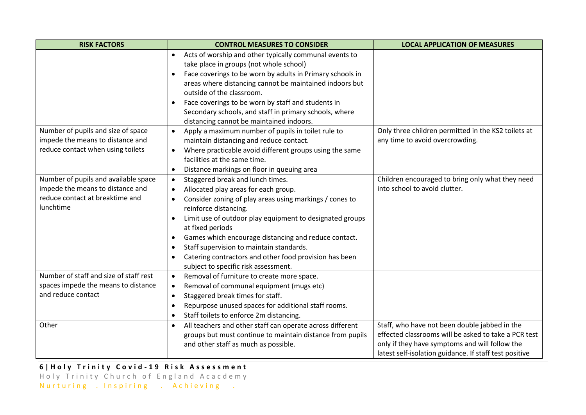| <b>RISK FACTORS</b>                    | <b>CONTROL MEASURES TO CONSIDER</b>                                    | <b>LOCAL APPLICATION OF MEASURES</b>                   |
|----------------------------------------|------------------------------------------------------------------------|--------------------------------------------------------|
|                                        | Acts of worship and other typically communal events to                 |                                                        |
|                                        | take place in groups (not whole school)                                |                                                        |
|                                        | Face coverings to be worn by adults in Primary schools in<br>$\bullet$ |                                                        |
|                                        | areas where distancing cannot be maintained indoors but                |                                                        |
|                                        | outside of the classroom.                                              |                                                        |
|                                        | Face coverings to be worn by staff and students in                     |                                                        |
|                                        | Secondary schools, and staff in primary schools, where                 |                                                        |
|                                        | distancing cannot be maintained indoors.                               |                                                        |
| Number of pupils and size of space     | Apply a maximum number of pupils in toilet rule to<br>$\bullet$        | Only three children permitted in the KS2 toilets at    |
| impede the means to distance and       | maintain distancing and reduce contact.                                | any time to avoid overcrowding.                        |
| reduce contact when using toilets      | Where practicable avoid different groups using the same<br>$\bullet$   |                                                        |
|                                        | facilities at the same time.                                           |                                                        |
|                                        | Distance markings on floor in queuing area<br>$\bullet$                |                                                        |
| Number of pupils and available space   | Staggered break and lunch times.<br>$\bullet$                          | Children encouraged to bring only what they need       |
| impede the means to distance and       | Allocated play areas for each group.<br>$\bullet$                      | into school to avoid clutter.                          |
| reduce contact at breaktime and        | Consider zoning of play areas using markings / cones to<br>$\bullet$   |                                                        |
| lunchtime                              | reinforce distancing.                                                  |                                                        |
|                                        | Limit use of outdoor play equipment to designated groups               |                                                        |
|                                        | at fixed periods                                                       |                                                        |
|                                        | Games which encourage distancing and reduce contact.<br>$\bullet$      |                                                        |
|                                        | Staff supervision to maintain standards.<br>$\bullet$                  |                                                        |
|                                        | Catering contractors and other food provision has been<br>$\bullet$    |                                                        |
|                                        | subject to specific risk assessment.                                   |                                                        |
| Number of staff and size of staff rest | Removal of furniture to create more space.<br>$\bullet$                |                                                        |
| spaces impede the means to distance    | Removal of communal equipment (mugs etc)<br>$\bullet$                  |                                                        |
| and reduce contact                     | Staggered break times for staff.<br>$\bullet$                          |                                                        |
|                                        | Repurpose unused spaces for additional staff rooms.<br>$\bullet$       |                                                        |
|                                        | Staff toilets to enforce 2m distancing.<br>$\bullet$                   |                                                        |
| Other                                  | All teachers and other staff can operate across different<br>$\bullet$ | Staff, who have not been double jabbed in the          |
|                                        | groups but must continue to maintain distance from pupils              | effected classrooms will be asked to take a PCR test   |
|                                        | and other staff as much as possible.                                   | only if they have symptoms and will follow the         |
|                                        |                                                                        | latest self-isolation guidance. If staff test positive |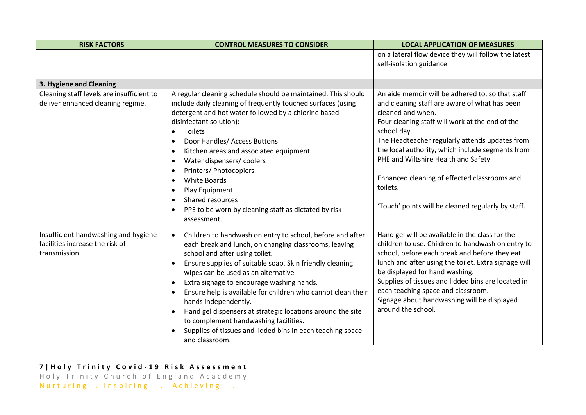| <b>RISK FACTORS</b>                                                                      | <b>CONTROL MEASURES TO CONSIDER</b>                                                                                                                                                                                                                                                                                                                                                                                                                                                                                                                                                                                                     | <b>LOCAL APPLICATION OF MEASURES</b>                                                                                                                                                                                                                                                                                                                                                                                                                     |
|------------------------------------------------------------------------------------------|-----------------------------------------------------------------------------------------------------------------------------------------------------------------------------------------------------------------------------------------------------------------------------------------------------------------------------------------------------------------------------------------------------------------------------------------------------------------------------------------------------------------------------------------------------------------------------------------------------------------------------------------|----------------------------------------------------------------------------------------------------------------------------------------------------------------------------------------------------------------------------------------------------------------------------------------------------------------------------------------------------------------------------------------------------------------------------------------------------------|
|                                                                                          |                                                                                                                                                                                                                                                                                                                                                                                                                                                                                                                                                                                                                                         | on a lateral flow device they will follow the latest<br>self-isolation guidance.                                                                                                                                                                                                                                                                                                                                                                         |
| 3. Hygiene and Cleaning                                                                  |                                                                                                                                                                                                                                                                                                                                                                                                                                                                                                                                                                                                                                         |                                                                                                                                                                                                                                                                                                                                                                                                                                                          |
| Cleaning staff levels are insufficient to<br>deliver enhanced cleaning regime.           | A regular cleaning schedule should be maintained. This should<br>include daily cleaning of frequently touched surfaces (using<br>detergent and hot water followed by a chlorine based<br>disinfectant solution):<br>Toilets<br>$\bullet$<br>Door Handles/ Access Buttons<br>$\bullet$<br>Kitchen areas and associated equipment<br>$\bullet$<br>Water dispensers/ coolers<br>$\bullet$<br>Printers/ Photocopiers<br>$\bullet$<br><b>White Boards</b><br>$\bullet$<br>Play Equipment<br>$\bullet$<br>Shared resources<br>$\bullet$<br>PPE to be worn by cleaning staff as dictated by risk<br>assessment.                                | An aide memoir will be adhered to, so that staff<br>and cleaning staff are aware of what has been<br>cleaned and when.<br>Four cleaning staff will work at the end of the<br>school day.<br>The Headteacher regularly attends updates from<br>the local authority, which include segments from<br>PHE and Wiltshire Health and Safety.<br>Enhanced cleaning of effected classrooms and<br>toilets.<br>'Touch' points will be cleaned regularly by staff. |
| Insufficient handwashing and hygiene<br>facilities increase the risk of<br>transmission. | Children to handwash on entry to school, before and after<br>$\bullet$<br>each break and lunch, on changing classrooms, leaving<br>school and after using toilet.<br>Ensure supplies of suitable soap. Skin friendly cleaning<br>$\bullet$<br>wipes can be used as an alternative<br>Extra signage to encourage washing hands.<br>$\bullet$<br>Ensure help is available for children who cannot clean their<br>hands independently.<br>Hand gel dispensers at strategic locations around the site<br>$\bullet$<br>to complement handwashing facilities.<br>Supplies of tissues and lidded bins in each teaching space<br>and classroom. | Hand gel will be available in the class for the<br>children to use. Children to handwash on entry to<br>school, before each break and before they eat<br>lunch and after using the toilet. Extra signage will<br>be displayed for hand washing.<br>Supplies of tissues and lidded bins are located in<br>each teaching space and classroom.<br>Signage about handwashing will be displayed<br>around the school.                                         |

# **7 | H o l y T r i n i t y C o v i d - 1 9 R i s k A s s e s s m e n t** Holy Trinity Church of England Acacdemy

N urturing . Inspiring . A chieving .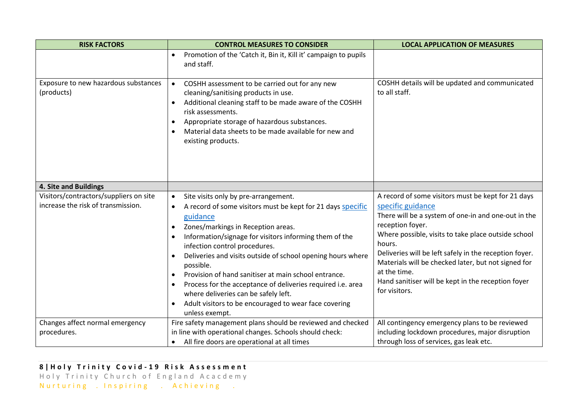| <b>RISK FACTORS</b>                                                          | <b>CONTROL MEASURES TO CONSIDER</b>                                                                                                                                                                                                                                                                                                                                                                                                                                                                                                                                                                                                                  | <b>LOCAL APPLICATION OF MEASURES</b>                                                                                                                                                                                                                                                                                                                                                                                        |
|------------------------------------------------------------------------------|------------------------------------------------------------------------------------------------------------------------------------------------------------------------------------------------------------------------------------------------------------------------------------------------------------------------------------------------------------------------------------------------------------------------------------------------------------------------------------------------------------------------------------------------------------------------------------------------------------------------------------------------------|-----------------------------------------------------------------------------------------------------------------------------------------------------------------------------------------------------------------------------------------------------------------------------------------------------------------------------------------------------------------------------------------------------------------------------|
|                                                                              | Promotion of the 'Catch it, Bin it, Kill it' campaign to pupils<br>and staff.                                                                                                                                                                                                                                                                                                                                                                                                                                                                                                                                                                        |                                                                                                                                                                                                                                                                                                                                                                                                                             |
| Exposure to new hazardous substances<br>(products)                           | COSHH assessment to be carried out for any new<br>$\bullet$<br>cleaning/sanitising products in use.<br>Additional cleaning staff to be made aware of the COSHH<br>$\bullet$<br>risk assessments.<br>Appropriate storage of hazardous substances.<br>$\bullet$<br>Material data sheets to be made available for new and<br>$\bullet$<br>existing products.                                                                                                                                                                                                                                                                                            | COSHH details will be updated and communicated<br>to all staff.                                                                                                                                                                                                                                                                                                                                                             |
| 4. Site and Buildings                                                        |                                                                                                                                                                                                                                                                                                                                                                                                                                                                                                                                                                                                                                                      |                                                                                                                                                                                                                                                                                                                                                                                                                             |
| Visitors/contractors/suppliers on site<br>increase the risk of transmission. | Site visits only by pre-arrangement.<br>$\bullet$<br>A record of some visitors must be kept for 21 days specific<br>$\bullet$<br>guidance<br>Zones/markings in Reception areas.<br>$\bullet$<br>Information/signage for visitors informing them of the<br>$\bullet$<br>infection control procedures.<br>Deliveries and visits outside of school opening hours where<br>possible.<br>Provision of hand sanitiser at main school entrance.<br>$\bullet$<br>Process for the acceptance of deliveries required i.e. area<br>$\bullet$<br>where deliveries can be safely left.<br>Adult visitors to be encouraged to wear face covering<br>unless exempt. | A record of some visitors must be kept for 21 days<br>specific guidance<br>There will be a system of one-in and one-out in the<br>reception foyer.<br>Where possible, visits to take place outside school<br>hours.<br>Deliveries will be left safely in the reception foyer.<br>Materials will be checked later, but not signed for<br>at the time.<br>Hand sanitiser will be kept in the reception foyer<br>for visitors. |
| Changes affect normal emergency<br>procedures.                               | Fire safety management plans should be reviewed and checked<br>in line with operational changes. Schools should check:<br>All fire doors are operational at all times                                                                                                                                                                                                                                                                                                                                                                                                                                                                                | All contingency emergency plans to be reviewed<br>including lockdown procedures, major disruption<br>through loss of services, gas leak etc.                                                                                                                                                                                                                                                                                |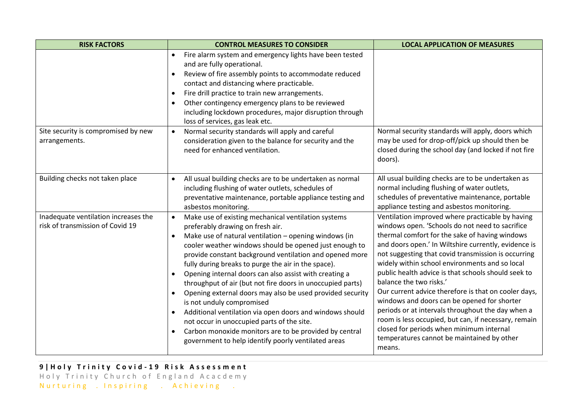| <b>RISK FACTORS</b>                                                      | <b>CONTROL MEASURES TO CONSIDER</b>                                                                                                                                                                                                                                                                                                                                                                                                                                                                                                                                                                                                                                                                                                                                                                                                                     | <b>LOCAL APPLICATION OF MEASURES</b>                                                                                                                                                                                                                                                                                                                                                                                                                                                                                                                                                                                                                                                                                             |
|--------------------------------------------------------------------------|---------------------------------------------------------------------------------------------------------------------------------------------------------------------------------------------------------------------------------------------------------------------------------------------------------------------------------------------------------------------------------------------------------------------------------------------------------------------------------------------------------------------------------------------------------------------------------------------------------------------------------------------------------------------------------------------------------------------------------------------------------------------------------------------------------------------------------------------------------|----------------------------------------------------------------------------------------------------------------------------------------------------------------------------------------------------------------------------------------------------------------------------------------------------------------------------------------------------------------------------------------------------------------------------------------------------------------------------------------------------------------------------------------------------------------------------------------------------------------------------------------------------------------------------------------------------------------------------------|
|                                                                          | Fire alarm system and emergency lights have been tested<br>and are fully operational.<br>Review of fire assembly points to accommodate reduced<br>$\bullet$<br>contact and distancing where practicable.<br>Fire drill practice to train new arrangements.<br>$\bullet$<br>Other contingency emergency plans to be reviewed<br>$\bullet$<br>including lockdown procedures, major disruption through<br>loss of services, gas leak etc.                                                                                                                                                                                                                                                                                                                                                                                                                  |                                                                                                                                                                                                                                                                                                                                                                                                                                                                                                                                                                                                                                                                                                                                  |
| Site security is compromised by new<br>arrangements.                     | Normal security standards will apply and careful<br>$\bullet$<br>consideration given to the balance for security and the<br>need for enhanced ventilation.                                                                                                                                                                                                                                                                                                                                                                                                                                                                                                                                                                                                                                                                                              | Normal security standards will apply, doors which<br>may be used for drop-off/pick up should then be<br>closed during the school day (and locked if not fire<br>doors).                                                                                                                                                                                                                                                                                                                                                                                                                                                                                                                                                          |
| Building checks not taken place                                          | All usual building checks are to be undertaken as normal<br>$\bullet$<br>including flushing of water outlets, schedules of<br>preventative maintenance, portable appliance testing and<br>asbestos monitoring.                                                                                                                                                                                                                                                                                                                                                                                                                                                                                                                                                                                                                                          | All usual building checks are to be undertaken as<br>normal including flushing of water outlets,<br>schedules of preventative maintenance, portable<br>appliance testing and asbestos monitoring.                                                                                                                                                                                                                                                                                                                                                                                                                                                                                                                                |
| Inadequate ventilation increases the<br>risk of transmission of Covid 19 | Make use of existing mechanical ventilation systems<br>$\bullet$<br>preferably drawing on fresh air.<br>Make use of natural ventilation - opening windows (in<br>$\bullet$<br>cooler weather windows should be opened just enough to<br>provide constant background ventilation and opened more<br>fully during breaks to purge the air in the space).<br>Opening internal doors can also assist with creating a<br>$\bullet$<br>throughput of air (but not fire doors in unoccupied parts)<br>Opening external doors may also be used provided security<br>$\bullet$<br>is not unduly compromised<br>Additional ventilation via open doors and windows should<br>$\bullet$<br>not occur in unoccupied parts of the site.<br>Carbon monoxide monitors are to be provided by central<br>$\bullet$<br>government to help identify poorly ventilated areas | Ventilation improved where practicable by having<br>windows open. 'Schools do not need to sacrifice<br>thermal comfort for the sake of having windows<br>and doors open.' In Wiltshire currently, evidence is<br>not suggesting that covid transmission is occurring<br>widely within school environments and so local<br>public health advice is that schools should seek to<br>balance the two risks.'<br>Our current advice therefore is that on cooler days,<br>windows and doors can be opened for shorter<br>periods or at intervals throughout the day when a<br>room is less occupied, but can, if necessary, remain<br>closed for periods when minimum internal<br>temperatures cannot be maintained by other<br>means. |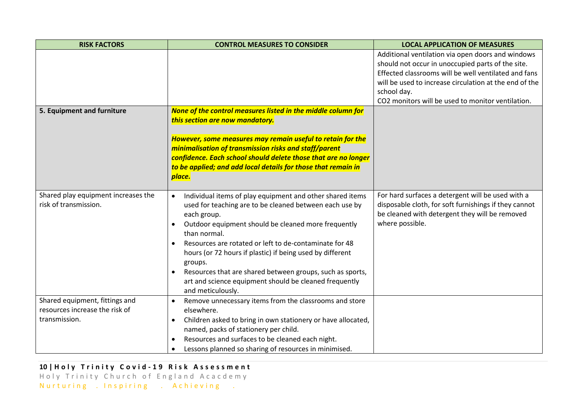| <b>RISK FACTORS</b>                                          | <b>CONTROL MEASURES TO CONSIDER</b>                                       | <b>LOCAL APPLICATION OF MEASURES</b>                   |
|--------------------------------------------------------------|---------------------------------------------------------------------------|--------------------------------------------------------|
|                                                              |                                                                           | Additional ventilation via open doors and windows      |
|                                                              |                                                                           | should not occur in unoccupied parts of the site.      |
|                                                              |                                                                           | Effected classrooms will be well ventilated and fans   |
|                                                              |                                                                           | will be used to increase circulation at the end of the |
|                                                              |                                                                           | school day.                                            |
|                                                              |                                                                           | CO2 monitors will be used to monitor ventilation.      |
| 5. Equipment and furniture                                   | None of the control measures listed in the middle column for              |                                                        |
|                                                              | this section are now mandatory.                                           |                                                        |
|                                                              |                                                                           |                                                        |
|                                                              | However, some measures may remain useful to retain for the                |                                                        |
|                                                              | minimalisation of transmission risks and staff/parent                     |                                                        |
|                                                              | confidence. Each school should delete those that are no longer            |                                                        |
|                                                              | to be applied; and add local details for those that remain in             |                                                        |
|                                                              | place.                                                                    |                                                        |
|                                                              |                                                                           |                                                        |
| Shared play equipment increases the<br>risk of transmission. | Individual items of play equipment and other shared items<br>$\bullet$    | For hard surfaces a detergent will be used with a      |
|                                                              | used for teaching are to be cleaned between each use by                   | disposable cloth, for soft furnishings if they cannot  |
|                                                              | each group.                                                               | be cleaned with detergent they will be removed         |
|                                                              | Outdoor equipment should be cleaned more frequently                       | where possible.                                        |
|                                                              | than normal.                                                              |                                                        |
|                                                              | Resources are rotated or left to de-contaminate for 48                    |                                                        |
|                                                              | hours (or 72 hours if plastic) if being used by different                 |                                                        |
|                                                              | groups.                                                                   |                                                        |
|                                                              | Resources that are shared between groups, such as sports,<br>$\bullet$    |                                                        |
|                                                              | art and science equipment should be cleaned frequently                    |                                                        |
| Shared equipment, fittings and                               | and meticulously.                                                         |                                                        |
| resources increase the risk of                               | Remove unnecessary items from the classrooms and store<br>elsewhere.      |                                                        |
| transmission.                                                |                                                                           |                                                        |
|                                                              | Children asked to bring in own stationery or have allocated,<br>$\bullet$ |                                                        |
|                                                              | named, packs of stationery per child.                                     |                                                        |
|                                                              | Resources and surfaces to be cleaned each night.                          |                                                        |
|                                                              | Lessons planned so sharing of resources in minimised.<br>$\bullet$        |                                                        |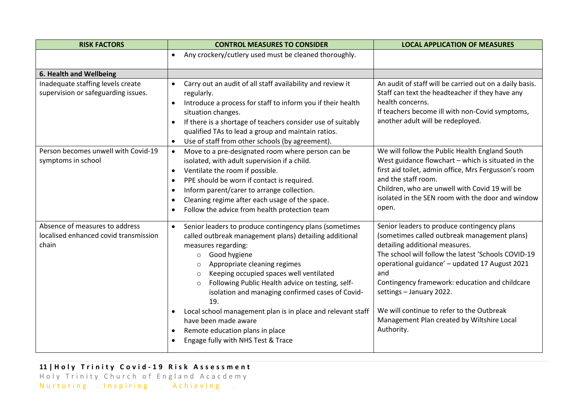| <b>RISK FACTORS</b>                                                              | <b>CONTROL MEASURES TO CONSIDER</b>                                                                                                                                                                                                                                                                                                                                                                                                                                                                                                                                                     | <b>LOCAL APPLICATION OF MEASURES</b>                                                                                                                                                                                                                                                                                                                                                                                                 |
|----------------------------------------------------------------------------------|-----------------------------------------------------------------------------------------------------------------------------------------------------------------------------------------------------------------------------------------------------------------------------------------------------------------------------------------------------------------------------------------------------------------------------------------------------------------------------------------------------------------------------------------------------------------------------------------|--------------------------------------------------------------------------------------------------------------------------------------------------------------------------------------------------------------------------------------------------------------------------------------------------------------------------------------------------------------------------------------------------------------------------------------|
|                                                                                  | Any crockery/cutlery used must be cleaned thoroughly.<br>$\bullet$                                                                                                                                                                                                                                                                                                                                                                                                                                                                                                                      |                                                                                                                                                                                                                                                                                                                                                                                                                                      |
| 6. Health and Wellbeing                                                          |                                                                                                                                                                                                                                                                                                                                                                                                                                                                                                                                                                                         |                                                                                                                                                                                                                                                                                                                                                                                                                                      |
| Inadequate staffing levels create<br>supervision or safeguarding issues.         | Carry out an audit of all staff availability and review it<br>$\bullet$<br>regularly.<br>Introduce a process for staff to inform you if their health<br>$\bullet$<br>situation changes.<br>If there is a shortage of teachers consider use of suitably<br>$\bullet$<br>qualified TAs to lead a group and maintain ratios.<br>Use of staff from other schools (by agreement).<br>$\bullet$                                                                                                                                                                                               | An audit of staff will be carried out on a daily basis.<br>Staff can text the headteacher if they have any<br>health concerns.<br>If teachers become ill with non-Covid symptoms,<br>another adult will be redeployed.                                                                                                                                                                                                               |
| Person becomes unwell with Covid-19<br>symptoms in school                        | Move to a pre-designated room where person can be<br>$\bullet$<br>isolated, with adult supervision if a child.<br>Ventilate the room if possible.<br>$\bullet$<br>PPE should be worn if contact is required.<br>$\bullet$<br>Inform parent/carer to arrange collection.<br>$\bullet$<br>Cleaning regime after each usage of the space.<br>$\bullet$<br>Follow the advice from health protection team                                                                                                                                                                                    | We will follow the Public Health England South<br>West guidance flowchart - which is situated in the<br>first aid toilet, admin office, Mrs Fergusson's room<br>and the staff room.<br>Children, who are unwell with Covid 19 will be<br>isolated in the SEN room with the door and window<br>open.                                                                                                                                  |
| Absence of measures to address<br>localised enhanced covid transmission<br>chain | Senior leaders to produce contingency plans (sometimes<br>$\bullet$<br>called outbreak management plans) detailing additional<br>measures regarding:<br>Good hygiene<br>$\circ$<br>Appropriate cleaning regimes<br>$\circ$<br>Keeping occupied spaces well ventilated<br>$\circ$<br>Following Public Health advice on testing, self-<br>$\circ$<br>isolation and managing confirmed cases of Covid-<br>19.<br>Local school management plan is in place and relevant staff<br>have been made aware<br>Remote education plans in place<br>$\bullet$<br>Engage fully with NHS Test & Trace | Senior leaders to produce contingency plans<br>(sometimes called outbreak management plans)<br>detailing additional measures.<br>The school will follow the latest 'Schools COVID-19<br>operational guidance' - updated 17 August 2021<br>and<br>Contingency framework: education and childcare<br>settings - January 2022.<br>We will continue to refer to the Outbreak<br>Management Plan created by Wiltshire Local<br>Authority. |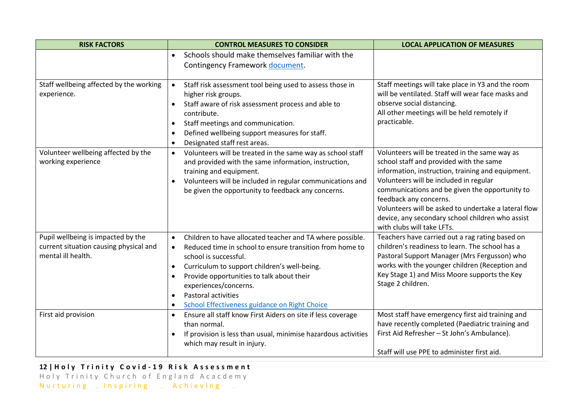| <b>RISK FACTORS</b>                                          | <b>CONTROL MEASURES TO CONSIDER</b>                                                                                                                        | <b>LOCAL APPLICATION OF MEASURES</b>                                                                                                          |
|--------------------------------------------------------------|------------------------------------------------------------------------------------------------------------------------------------------------------------|-----------------------------------------------------------------------------------------------------------------------------------------------|
|                                                              | Schools should make themselves familiar with the                                                                                                           |                                                                                                                                               |
|                                                              | Contingency Framework document.                                                                                                                            |                                                                                                                                               |
| Staff wellbeing affected by the working<br>experience.       | Staff risk assessment tool being used to assess those in<br>$\bullet$<br>higher risk groups.                                                               | Staff meetings will take place in Y3 and the room<br>will be ventilated. Staff will wear face masks and                                       |
|                                                              | Staff aware of risk assessment process and able to<br>$\bullet$<br>contribute.                                                                             | observe social distancing.<br>All other meetings will be held remotely if                                                                     |
|                                                              | Staff meetings and communication.<br>$\bullet$                                                                                                             | practicable.                                                                                                                                  |
|                                                              | Defined wellbeing support measures for staff.<br>$\bullet$<br>Designated staff rest areas.<br>$\bullet$                                                    |                                                                                                                                               |
| Volunteer wellbeing affected by the<br>working experience    | Volunteers will be treated in the same way as school staff<br>$\bullet$<br>and provided with the same information, instruction,<br>training and equipment. | Volunteers will be treated in the same way as<br>school staff and provided with the same<br>information, instruction, training and equipment. |
|                                                              | Volunteers will be included in regular communications and<br>$\bullet$<br>be given the opportunity to feedback any concerns.                               | Volunteers will be included in regular<br>communications and be given the opportunity to<br>feedback any concerns.                            |
|                                                              |                                                                                                                                                            | Volunteers will be asked to undertake a lateral flow<br>device, any secondary school children who assist                                      |
|                                                              |                                                                                                                                                            | with clubs will take LFTs.                                                                                                                    |
| Pupil wellbeing is impacted by the                           | Children to have allocated teacher and TA where possible.<br>$\bullet$                                                                                     | Teachers have carried out a rag rating based on<br>children's readiness to learn. The school has a                                            |
| current situation causing physical and<br>mental ill health. | Reduced time in school to ensure transition from home to<br>$\bullet$<br>school is successful.                                                             | Pastoral Support Manager (Mrs Fergusson) who                                                                                                  |
|                                                              | Curriculum to support children's well-being.<br>$\bullet$                                                                                                  | works with the younger children (Reception and                                                                                                |
|                                                              | Provide opportunities to talk about their<br>$\bullet$<br>experiences/concerns.                                                                            | Key Stage 1) and Miss Moore supports the Key<br>Stage 2 children.                                                                             |
|                                                              | <b>Pastoral activities</b><br>$\bullet$                                                                                                                    |                                                                                                                                               |
|                                                              | <b>School Effectiveness guidance on Right Choice</b><br>$\bullet$                                                                                          |                                                                                                                                               |
| First aid provision                                          | Ensure all staff know First Aiders on site if less coverage<br>$\bullet$<br>than normal.                                                                   | Most staff have emergency first aid training and<br>have recently completed (Paediatric training and                                          |
|                                                              | If provision is less than usual, minimise hazardous activities<br>$\bullet$                                                                                | First Aid Refresher - St John's Ambulance).                                                                                                   |
|                                                              | which may result in injury.                                                                                                                                |                                                                                                                                               |
|                                                              |                                                                                                                                                            | Staff will use PPE to administer first aid.                                                                                                   |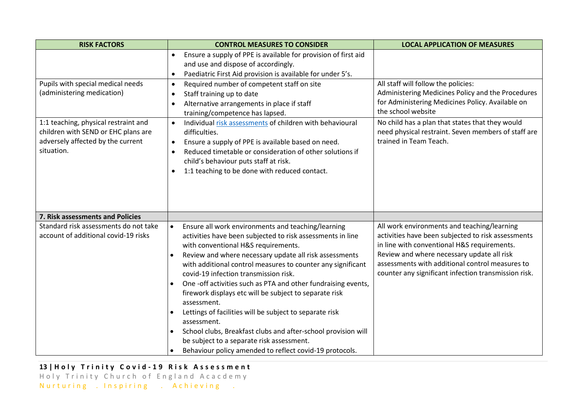| <b>RISK FACTORS</b>                                                         | <b>CONTROL MEASURES TO CONSIDER</b>                                                                        | <b>LOCAL APPLICATION OF MEASURES</b>                                                                   |
|-----------------------------------------------------------------------------|------------------------------------------------------------------------------------------------------------|--------------------------------------------------------------------------------------------------------|
|                                                                             | Ensure a supply of PPE is available for provision of first aid                                             |                                                                                                        |
|                                                                             | and use and dispose of accordingly.                                                                        |                                                                                                        |
|                                                                             | Paediatric First Aid provision is available for under 5's.<br>$\bullet$                                    |                                                                                                        |
| Pupils with special medical needs                                           | Required number of competent staff on site<br>$\bullet$                                                    | All staff will follow the policies:                                                                    |
| (administering medication)                                                  | Staff training up to date<br>$\bullet$                                                                     | Administering Medicines Policy and the Procedures                                                      |
|                                                                             | Alternative arrangements in place if staff<br>$\bullet$                                                    | for Administering Medicines Policy. Available on<br>the school website                                 |
|                                                                             | training/competence has lapsed.                                                                            |                                                                                                        |
| 1:1 teaching, physical restraint and<br>children with SEND or EHC plans are | Individual risk assessments of children with behavioural<br>$\bullet$<br>difficulties.                     | No child has a plan that states that they would<br>need physical restraint. Seven members of staff are |
| adversely affected by the current                                           | Ensure a supply of PPE is available based on need.<br>$\bullet$                                            | trained in Team Teach.                                                                                 |
| situation.                                                                  | Reduced timetable or consideration of other solutions if<br>$\bullet$                                      |                                                                                                        |
|                                                                             | child's behaviour puts staff at risk.                                                                      |                                                                                                        |
|                                                                             | 1:1 teaching to be done with reduced contact.                                                              |                                                                                                        |
|                                                                             |                                                                                                            |                                                                                                        |
|                                                                             |                                                                                                            |                                                                                                        |
|                                                                             |                                                                                                            |                                                                                                        |
| 7. Risk assessments and Policies                                            |                                                                                                            |                                                                                                        |
| Standard risk assessments do not take                                       | Ensure all work environments and teaching/learning<br>$\bullet$                                            | All work environments and teaching/learning                                                            |
| account of additional covid-19 risks                                        | activities have been subjected to risk assessments in line                                                 | activities have been subjected to risk assessments                                                     |
|                                                                             | with conventional H&S requirements.                                                                        | in line with conventional H&S requirements.                                                            |
|                                                                             | Review and where necessary update all risk assessments                                                     | Review and where necessary update all risk                                                             |
|                                                                             | with additional control measures to counter any significant                                                | assessments with additional control measures to                                                        |
|                                                                             | covid-19 infection transmission risk.                                                                      | counter any significant infection transmission risk.                                                   |
|                                                                             | One -off activities such as PTA and other fundraising events,                                              |                                                                                                        |
|                                                                             | firework displays etc will be subject to separate risk                                                     |                                                                                                        |
|                                                                             | assessment.                                                                                                |                                                                                                        |
|                                                                             | Lettings of facilities will be subject to separate risk                                                    |                                                                                                        |
|                                                                             | assessment.                                                                                                |                                                                                                        |
|                                                                             |                                                                                                            |                                                                                                        |
|                                                                             | Behaviour policy amended to reflect covid-19 protocols.                                                    |                                                                                                        |
|                                                                             | School clubs, Breakfast clubs and after-school provision will<br>be subject to a separate risk assessment. |                                                                                                        |
|                                                                             |                                                                                                            |                                                                                                        |